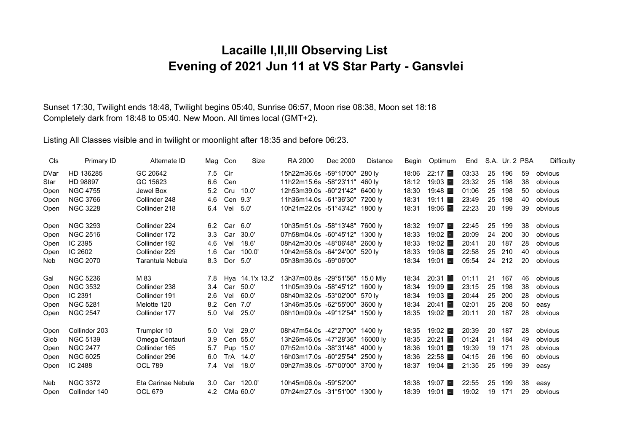## **Lacaille I,II,III Observing List Evening of 2021 Jun 11 at VS Star Party - Gansvlei**

Sunset 17:30, Twilight ends 18:48, Twilight begins 05:40, Sunrise 06:57, Moon rise 08:38, Moon set 18:18 Completely dark from 18:48 to 05:40. New Moon. All times local (GMT+2).

Listing All Classes visible and in twilight or moonlight after 18:35 and before 06:23.

| C <sub>ls</sub> | Primary ID      | Alternate ID       | Mag | Con        | Size             | RA 2000                         | Dec 2000 | Distance | Begin | Optimum                | End   |    | S.A. Ur. 2 PSA |    | Difficulty |
|-----------------|-----------------|--------------------|-----|------------|------------------|---------------------------------|----------|----------|-------|------------------------|-------|----|----------------|----|------------|
| <b>DVar</b>     | HD 136285       | GC 20642           | 7.5 | Cir        |                  | 15h22m36.6s -59°10'00" 280 ly   |          |          | 18:06 | 22:17 ■                | 03:33 | 25 | 196            | 59 | obvious    |
| Star            | HD 98897        | GC 15623           | 6.6 | Cen        |                  | 11h22m15.6s -58°23'11" 460 ly   |          |          | 18:12 | 19:03                  | 23:32 | 25 | 198            | 38 | obvious    |
| Open            | <b>NGC 4755</b> | Jewel Box          | 5.2 | Cru        | 10.0'            | 12h53m39.0s -60°21'42" 6400 ly  |          |          | 18:30 | 19:48                  | 01:06 | 25 | 198            | 50 | obvious    |
| Open            | <b>NGC 3766</b> | Collinder 248      | 4.6 | Cen 9.3'   |                  | 11h36m14.0s -61°36'30" 7200 ly  |          |          | 18:31 | $19:11$ $\blacksquare$ | 23:49 | 25 | 198            | 40 | obvious    |
| Open            | <b>NGC 3228</b> | Collinder 218      | 6.4 | Vel        | 5.0'             | 10h21m22.0s -51°43'42" 1800 ly  |          |          | 18:31 | 19:06 ■                | 22:23 | 20 | 199            | 39 | obvious    |
| Open            | <b>NGC 3293</b> | Collinder 224      | 6.2 | Car        | 6.0'             | 10h35m51.0s -58°13'48" 7600 ly  |          |          | 18:32 | 19:07 ■                | 22:45 | 25 | 199            | 38 | obvious    |
| Open            | <b>NGC 2516</b> | Collinder 172      | 3.3 | Car        | 30.0'            | 07h58m04.0s -60°45'12" 1300 ly  |          |          | 18:33 | $19:02$ $\blacksquare$ | 20:09 | 24 | 200            | 30 | obvious    |
| Open            | IC 2395         | Collinder 192      | 4.6 | Vel        | 18.6'            | 08h42m30.0s -48°06'48" 2600 lv  |          |          | 18:33 | 19:02                  | 20:41 | 20 | 187            | 28 | obvious    |
| Open            | IC 2602         | Collinder 229      | 1.6 | Car        | 100.0'           | 10h42m58.0s -64°24'00" 520 ly   |          |          | 18:33 | 19:08                  | 22:58 | 25 | 210            | 40 | obvious    |
| Neb             | <b>NGC 2070</b> | Tarantula Nebula   | 8.3 | Dor        | 5.0'             | 05h38m36.0s -69°06'00"          |          |          | 18:34 | $19:01$ $\blacksquare$ | 05:54 | 24 | 212            | 20 | obvious    |
| Gal             | <b>NGC 5236</b> | M 83               | 7.8 |            | Hya 14.1'x 13.2' | 13h37m00.8s -29°51'56" 15.0 Mly |          |          | 18:34 | 20:31                  | 01:11 | 21 | 167            | 46 | obvious    |
| Open            | <b>NGC 3532</b> | Collinder 238      | 3.4 | Car        | 50.0'            | 11h05m39.0s -58°45'12" 1600 ly  |          |          | 18:34 | 19:09                  | 23:15 | 25 | 198            | 38 | obvious    |
| Open            | IC 2391         | Collinder 191      | 2.6 | Vel        | 60.0'            | 08h40m32.0s -53°02'00" 570 ly   |          |          | 18:34 | 19:03                  | 20:44 | 25 | 200            | 28 | obvious    |
| Open            | <b>NGC 5281</b> | Melotte 120        | 8.2 | Cen 7.0'   |                  | 13h46m35.0s -62°55'00" 3600 ly  |          |          | 18:34 | 20:41                  | 02:01 | 25 | 208            | 50 | easy       |
| Open            | <b>NGC 2547</b> | Collinder 177      | 5.0 | Vel        | 25.0'            | 08h10m09.0s -49°12'54" 1500 ly  |          |          | 18:35 | 19:02                  | 20:11 | 20 | 187            | 28 | obvious    |
| Open            | Collinder 203   | Trumpler 10        | 5.0 | Vel        | 29.0'            | 08h47m54.0s -42°27'00" 1400 ly  |          |          | 18:35 | 19:02                  | 20:39 | 20 | 187            | 28 | obvious    |
| Glob            | <b>NGC 5139</b> | Omega Centauri     | 3.9 |            | Cen 55.0'        | 13h26m46.0s -47°28'36" 16000 ly |          |          | 18:35 | 20:21                  | 01:24 | 21 | 184            | 49 | obvious    |
| Open            | <b>NGC 2477</b> | Collinder 165      | 5.7 |            | Pup 15.0'        | 07h52m10.0s -38°31'48" 4000 lv  |          |          | 18:36 | $19:01$ $\blacksquare$ | 19:39 | 19 | 171            | 28 | obvious    |
| Open            | <b>NGC 6025</b> | Collinder 296      | 6.0 | <b>TrA</b> | 14.0'            | 16h03m17.0s -60°25'54" 2500 ly  |          |          | 18:36 | 22:58 ■                | 04:15 | 26 | 196            | 60 | obvious    |
| Open            | IC 2488         | <b>OCL 789</b>     | 7.4 | Vel        | 18.0'            | 09h27m38.0s -57°00'00" 3700 ly  |          |          | 18:37 | 19:04                  | 21:35 | 25 | 199            | 39 | easy       |
| Neb             | <b>NGC 3372</b> | Eta Carinae Nebula | 3.0 | Car        | 120.0'           | 10h45m06.0s -59°52'00"          |          |          | 18:38 | 19:07                  | 22:55 | 25 | 199            | 38 | easy       |
| Open            | Collinder 140   | <b>OCL 679</b>     | 4.2 |            | CMa 60.0'        | 07h24m27.0s -31°51'00"          |          | 1300 lv  | 18:39 | $19:01$ $\blacksquare$ | 19:02 | 19 | 171            | 29 | obvious    |